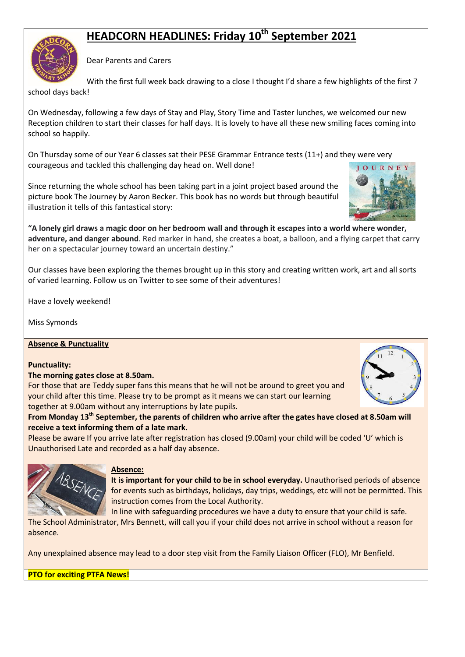# **HEADCORN HEADLINES: Friday 10th September 2021**

Dear Parents and Carers

With the first full week back drawing to a close I thought I'd share a few highlights of the first 7

school days back!

On Wednesday, following a few days of Stay and Play, Story Time and Taster lunches, we welcomed our new Reception children to start their classes for half days. It is lovely to have all these new smiling faces coming into school so happily.

On Thursday some of our Year 6 classes sat their PESE Grammar Entrance tests (11+) and they were very courageous and tackled this challenging day head on. Well done!  $10U$ 

Since returning the whole school has been taking part in a joint project based around the picture book The Journey by Aaron Becker. This book has no words but through beautiful illustration it tells of this fantastical story:

**"A lonely girl draws a magic door on her bedroom wall and through it escapes into a world where wonder, adventure, and danger abound**. Red marker in hand, she creates a boat, a balloon, and a flying carpet that carry her on a spectacular journey toward an uncertain destiny."

Our classes have been exploring the themes brought up in this story and creating written work, art and all sorts of varied learning. Follow us on Twitter to see some of their adventures!

Have a lovely weekend!

Miss Symonds

## **Absence & Punctuality**

## **Punctuality:**

## **The morning gates close at 8.50am.**

For those that are Teddy super fans this means that he will not be around to greet you and your child after this time. Please try to be prompt as it means we can start our learning together at 9.00am without any interruptions by late pupils.

**From Monday 13th September, the parents of children who arrive after the gates have closed at 8.50am will receive a text informing them of a late mark.**

Please be aware If you arrive late after registration has closed (9.00am) your child will be coded 'U' which is Unauthorised Late and recorded as a half day absence.



**It is important for your child to be in school everyday.** Unauthorised periods of absence for events such as birthdays, holidays, day trips, weddings, etc will not be permitted. This instruction comes from the Local Authority.

In line with safeguarding procedures we have a duty to ensure that your child is safe.

The School Administrator, Mrs Bennett, will call you if your child does not arrive in school without a reason for absence.

Any unexplained absence may lead to a door step visit from the Family Liaison Officer (FLO), Mr Benfield.

## **PTO for exciting PTFA News!**

ABSENCE